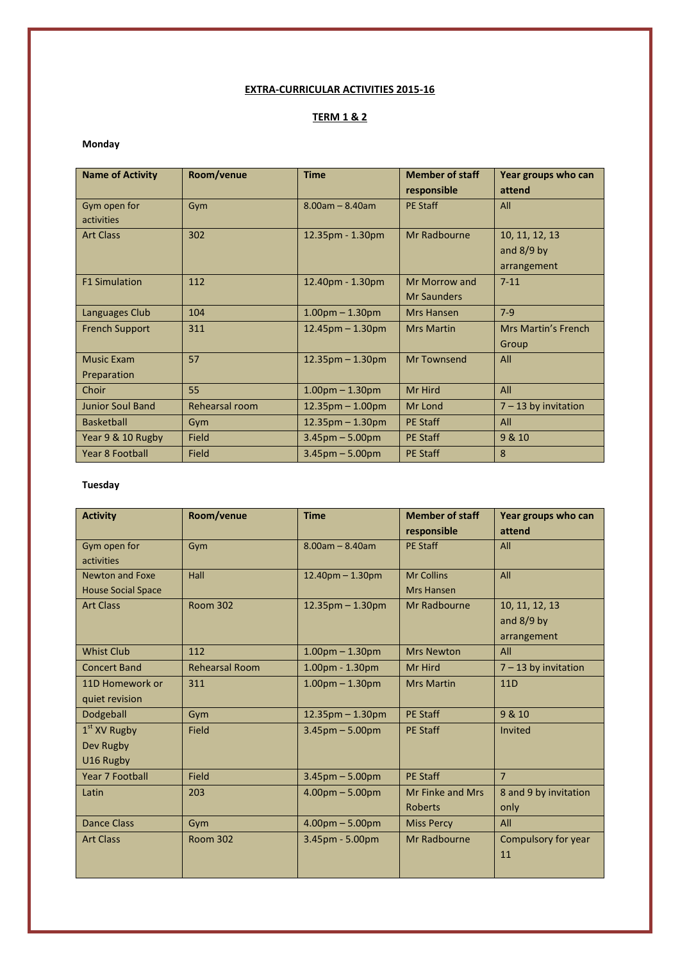## **EXTRA-CURRICULAR ACTIVITIES 2015-16**

# **TERM 1 & 2**

### **Monday**

| <b>Name of Activity</b> | Room/venue     | <b>Time</b>            | <b>Member of staff</b> | Year groups who can        |
|-------------------------|----------------|------------------------|------------------------|----------------------------|
|                         |                |                        | responsible            | attend                     |
| Gym open for            | Gym            | $8.00$ am - $8.40$ am  | <b>PE Staff</b>        | All                        |
| activities              |                |                        |                        |                            |
| <b>Art Class</b>        | 302            | 12.35pm - 1.30pm       | Mr Radbourne           | 10, 11, 12, 13             |
|                         |                |                        |                        | and $8/9$ by               |
|                         |                |                        |                        | arrangement                |
| <b>F1 Simulation</b>    | 112            | 12.40pm - 1.30pm       | Mr Morrow and          | $7 - 11$                   |
|                         |                |                        | <b>Mr Saunders</b>     |                            |
| Languages Club          | 104            | $1.00pm - 1.30pm$      | <b>Mrs Hansen</b>      | $7-9$                      |
| <b>French Support</b>   | 311            | $12.45$ pm $- 1.30$ pm | <b>Mrs Martin</b>      | <b>Mrs Martin's French</b> |
|                         |                |                        |                        | Group                      |
| <b>Music Exam</b>       | 57             | $12.35$ pm $- 1.30$ pm | Mr Townsend            | All                        |
| Preparation             |                |                        |                        |                            |
| Choir                   | 55             | $1.00$ pm $- 1.30$ pm  | Mr Hird                | All                        |
| <b>Junior Soul Band</b> | Rehearsal room | $12.35$ pm $-1.00$ pm  | Mr Lond                | $7 - 13$ by invitation     |
| <b>Basketball</b>       | Gym            | $12.35$ pm $- 1.30$ pm | <b>PE Staff</b>        | All                        |
| Year 9 & 10 Rugby       | Field          | $3.45$ pm $- 5.00$ pm  | <b>PE Staff</b>        | 9 & 10                     |
| <b>Year 8 Football</b>  | Field          | $3.45$ pm $- 5.00$ pm  | <b>PE Staff</b>        | 8                          |

#### **Tuesday**

| <b>Activity</b>           | Room/venue            | <b>Time</b>            | <b>Member of staff</b> | Year groups who can    |
|---------------------------|-----------------------|------------------------|------------------------|------------------------|
|                           |                       |                        | responsible            | attend                 |
| Gym open for              | Gym                   | $8.00$ am - $8.40$ am  | <b>PE Staff</b>        | All                    |
| activities                |                       |                        |                        |                        |
| Newton and Foxe           | Hall                  | $12.40$ pm $- 1.30$ pm | <b>Mr Collins</b>      | All                    |
| <b>House Social Space</b> |                       |                        | Mrs Hansen             |                        |
| <b>Art Class</b>          | <b>Room 302</b>       | $12.35$ pm $-1.30$ pm  | Mr Radbourne           | 10, 11, 12, 13         |
|                           |                       |                        |                        | and $8/9$ by           |
|                           |                       |                        |                        | arrangement            |
| <b>Whist Club</b>         | 112                   | $1.00$ pm $- 1.30$ pm  | <b>Mrs Newton</b>      | All                    |
| <b>Concert Band</b>       | <b>Rehearsal Room</b> | 1.00pm - 1.30pm        | Mr Hird                | $7 - 13$ by invitation |
| 11D Homework or           | 311                   | $1.00pm - 1.30pm$      | <b>Mrs Martin</b>      | 11D                    |
| quiet revision            |                       |                        |                        |                        |
| Dodgeball                 | Gym                   | $12.35$ pm $- 1.30$ pm | <b>PE Staff</b>        | 9 & 10                 |
| $1st$ XV Rugby            | Field                 | $3.45$ pm $- 5.00$ pm  | <b>PE Staff</b>        | Invited                |
| Dev Rugby                 |                       |                        |                        |                        |
| U16 Rugby                 |                       |                        |                        |                        |
| <b>Year 7 Football</b>    | Field                 | $3.45$ pm $- 5.00$ pm  | <b>PE Staff</b>        | $\overline{7}$         |
| Latin                     | 203                   | $4.00pm - 5.00pm$      | Mr Finke and Mrs       | 8 and 9 by invitation  |
|                           |                       |                        | <b>Roberts</b>         | only                   |
| <b>Dance Class</b>        | Gym                   | $4.00pm - 5.00pm$      | <b>Miss Percy</b>      | All                    |
| <b>Art Class</b>          | <b>Room 302</b>       | $3.45$ pm - 5.00pm     | Mr Radbourne           | Compulsory for year    |
|                           |                       |                        |                        | 11                     |
|                           |                       |                        |                        |                        |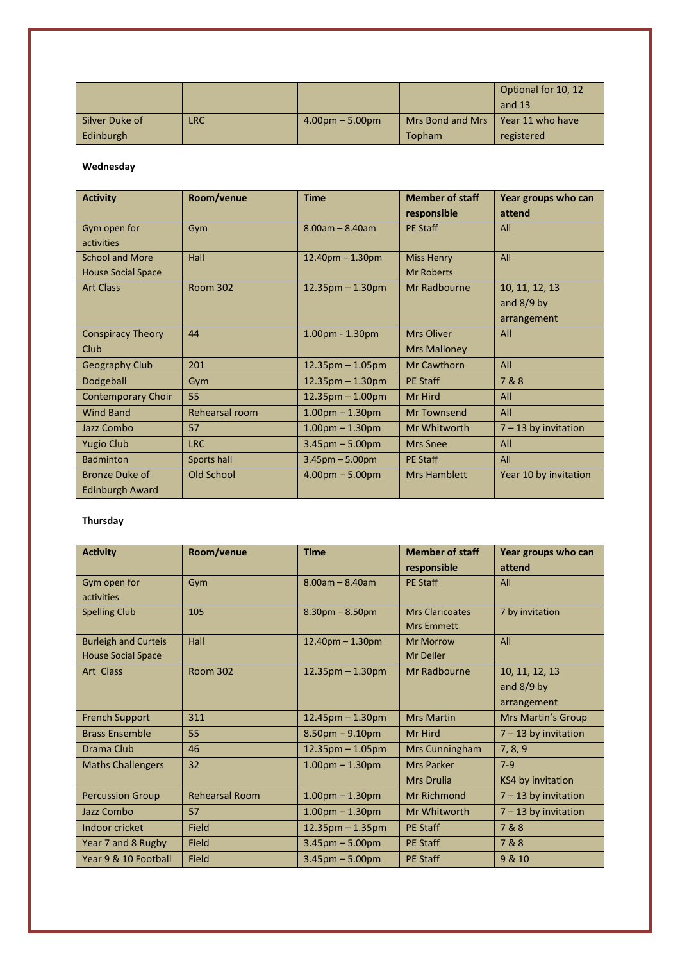|                |     |                   |                                     | Optional for 10, 12<br>and 13 |
|----------------|-----|-------------------|-------------------------------------|-------------------------------|
| Silver Duke of | LRC | $4.00pm - 5.00pm$ | Mrs Bond and Mrs   Year 11 who have |                               |
| Edinburgh      |     |                   | <b>Topham</b>                       | registered                    |

#### **Wednesday**

| <b>Activity</b>                                     | Room/venue      | <b>Time</b>            | <b>Member of staff</b><br>responsible    | Year groups who can<br>attend                 |
|-----------------------------------------------------|-----------------|------------------------|------------------------------------------|-----------------------------------------------|
| Gym open for<br>activities                          | Gym             | $8.00$ am – $8.40$ am  | <b>PE Staff</b>                          | All                                           |
| <b>School and More</b><br><b>House Social Space</b> | Hall            | $12.40$ pm $- 1.30$ pm | <b>Miss Henry</b><br><b>Mr Roberts</b>   | All                                           |
| <b>Art Class</b>                                    | <b>Room 302</b> | $12.35$ pm – 1.30pm    | Mr Radbourne                             | 10, 11, 12, 13<br>and $8/9$ by<br>arrangement |
| <b>Conspiracy Theory</b><br>Club                    | 44              | $1.00pm - 1.30pm$      | <b>Mrs Oliver</b><br><b>Mrs Malloney</b> | All                                           |
| <b>Geography Club</b>                               | 201             | $12.35$ pm – 1.05pm    | <b>Mr Cawthorn</b>                       | All                                           |
| Dodgeball                                           | Gym             | $12.35$ pm $- 1.30$ pm | <b>PE Staff</b>                          | 7&8                                           |
| <b>Contemporary Choir</b>                           | 55              | $12.35$ pm $- 1.00$ pm | Mr Hird                                  | All                                           |
| <b>Wind Band</b>                                    | Rehearsal room  | $1.00$ pm $- 1.30$ pm  | <b>Mr Townsend</b>                       | All                                           |
| Jazz Combo                                          | 57              | $1.00$ pm $- 1.30$ pm  | Mr Whitworth                             | $7 - 13$ by invitation                        |
| <b>Yugio Club</b>                                   | <b>LRC</b>      | $3.45$ pm $- 5.00$ pm  | <b>Mrs Snee</b>                          | All                                           |
| <b>Badminton</b>                                    | Sports hall     | $3.45$ pm $- 5.00$ pm  | <b>PE Staff</b>                          | All                                           |
| <b>Bronze Duke of</b><br><b>Edinburgh Award</b>     | Old School      | $4.00pm - 5.00pm$      | <b>Mrs Hamblett</b>                      | Year 10 by invitation                         |

#### **Thursday**

| <b>Activity</b>             | Room/venue            | <b>Time</b>            | <b>Member of staff</b><br>responsible | Year groups who can<br>attend |
|-----------------------------|-----------------------|------------------------|---------------------------------------|-------------------------------|
|                             |                       |                        |                                       |                               |
| Gym open for                | Gym                   | $8.00$ am - $8.40$ am  | <b>PE Staff</b>                       | All                           |
| activities                  |                       |                        |                                       |                               |
| <b>Spelling Club</b>        | 105                   | $8.30pm - 8.50pm$      | <b>Mrs Claricoates</b>                | 7 by invitation               |
|                             |                       |                        | <b>Mrs Emmett</b>                     |                               |
| <b>Burleigh and Curteis</b> | Hall                  | $12.40$ pm $- 1.30$ pm | <b>Mr Morrow</b>                      | All                           |
| <b>House Social Space</b>   |                       |                        | <b>Mr Deller</b>                      |                               |
| Art Class                   | <b>Room 302</b>       | $12.35$ pm $- 1.30$ pm | Mr Radbourne                          | 10, 11, 12, 13                |
|                             |                       |                        |                                       | and $8/9$ by                  |
|                             |                       |                        |                                       | arrangement                   |
| <b>French Support</b>       | 311                   | $12.45$ pm $- 1.30$ pm | <b>Mrs Martin</b>                     | <b>Mrs Martin's Group</b>     |
| <b>Brass Ensemble</b>       | 55                    | $8.50$ pm $- 9.10$ pm  | Mr Hird                               | $7 - 13$ by invitation        |
| Drama Club                  | 46                    | $12.35$ pm $- 1.05$ pm | Mrs Cunningham                        | 7, 8, 9                       |
| <b>Maths Challengers</b>    | 32                    | $1.00pm - 1.30pm$      | <b>Mrs Parker</b>                     | $7-9$                         |
|                             |                       |                        | <b>Mrs Drulia</b>                     | KS4 by invitation             |
| <b>Percussion Group</b>     | <b>Rehearsal Room</b> | $1.00pm - 1.30pm$      | Mr Richmond                           | $7 - 13$ by invitation        |
| Jazz Combo                  | 57                    | $1.00pm - 1.30pm$      | Mr Whitworth                          | $7 - 13$ by invitation        |
| Indoor cricket              | Field                 | $12.35$ pm $- 1.35$ pm | <b>PE Staff</b>                       | 7&8                           |
| Year 7 and 8 Rugby          | <b>Field</b>          | $3.45$ pm $- 5.00$ pm  | <b>PE Staff</b>                       | 7&8                           |
| Year 9 & 10 Football        | Field                 | $3.45$ pm $- 5.00$ pm  | <b>PE Staff</b>                       | 9 & 10                        |